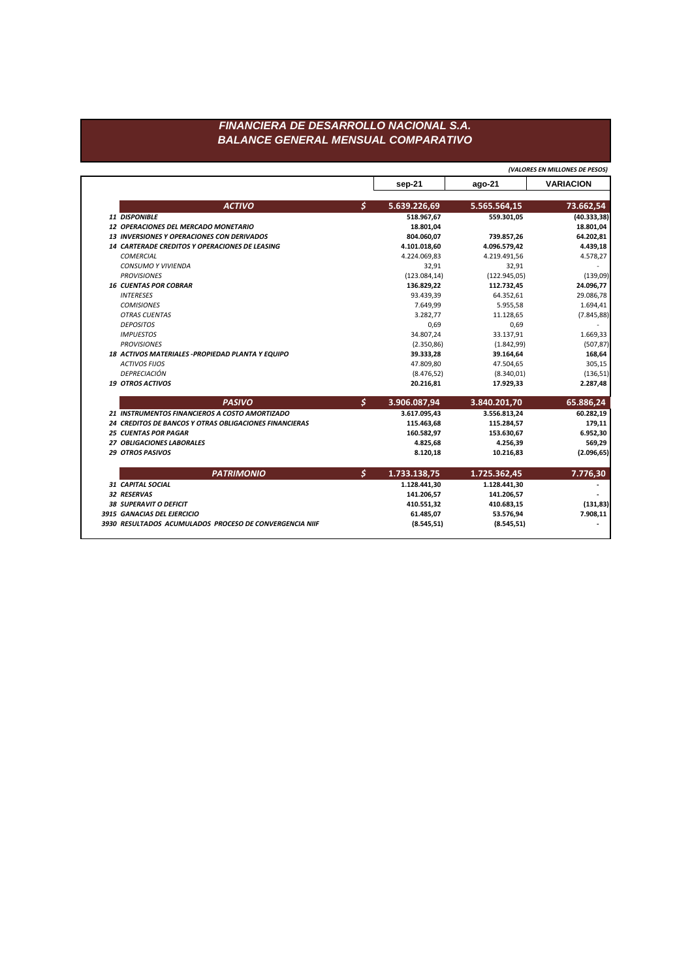## FINANCIERA DE DESARROLLO NACIONAL S.A. **BALANCE GENERAL MENSUAL COMPARATIVO**

(VALORES EN MILLONES DE PESOS)

|                                                        |               | sep-21        | $ago-21$     | <b>VARIACION</b> |
|--------------------------------------------------------|---------------|---------------|--------------|------------------|
|                                                        |               |               |              |                  |
| <b>ACTIVO</b>                                          | $\mathsf{S}$  | 5.639.226,69  | 5.565.564,15 | 73.662,54        |
| 11 DISPONIBLE                                          |               | 518.967,67    | 559.301,05   | (40.333, 38)     |
| 12 OPERACIONES DEL MERCADO MONETARIO                   |               | 18.801,04     |              | 18.801,04        |
| <b>13 INVERSIONES Y OPERACIONES CON DERIVADOS</b>      |               | 804.060,07    | 739.857,26   | 64.202,81        |
| 14 CARTERADE CREDITOS Y OPERACIONES DE LEASING         |               | 4.101.018,60  | 4.096.579,42 | 4.439,18         |
| <b>COMERCIAL</b>                                       |               | 4.224.069,83  | 4.219.491,56 | 4.578,27         |
| <b>CONSUMO Y VIVIENDA</b>                              |               | 32,91         | 32,91        |                  |
| <b>PROVISIONES</b>                                     |               | (123.084, 14) | (122.945,05) | (139,09)         |
| <b>16 CUENTAS POR COBRAR</b>                           |               | 136.829,22    | 112.732,45   | 24.096,77        |
| <b>INTERESES</b>                                       |               | 93.439,39     | 64.352,61    | 29.086,78        |
| <b>COMISIONES</b>                                      |               | 7.649,99      | 5.955,58     | 1.694,41         |
| <b>OTRAS CUENTAS</b>                                   |               | 3.282,77      | 11.128,65    | (7.845, 88)      |
| <b>DEPOSITOS</b>                                       |               | 0,69          | 0,69         |                  |
| <b>IMPUESTOS</b>                                       |               | 34.807,24     | 33.137,91    | 1.669,33         |
| <b>PROVISIONES</b>                                     |               | (2.350, 86)   | (1.842, 99)  | (507, 87)        |
| 18 ACTIVOS MATERIALES - PROPIEDAD PLANTA Y EQUIPO      |               | 39.333,28     | 39.164,64    | 168,64           |
| <b>ACTIVOS FIJOS</b>                                   |               | 47.809,80     | 47.504,65    | 305,15           |
| <b>DEPRECIACIÓN</b>                                    |               | (8.476, 52)   | (8.340, 01)  | (136, 51)        |
| <b>19 OTROS ACTIVOS</b>                                |               | 20.216,81     | 17.929,33    | 2.287,48         |
| <b>PASIVO</b>                                          | \$            | 3.906.087,94  | 3.840.201,70 | 65.886,24        |
| 21 INSTRUMENTOS FINANCIEROS A COSTO AMORTIZADO         |               | 3.617.095,43  | 3.556.813,24 | 60.282,19        |
| 24 CREDITOS DE BANCOS Y OTRAS OBLIGACIONES FINANCIERAS |               | 115.463,68    | 115.284,57   | 179,11           |
| <b>25 CUENTAS POR PAGAR</b>                            |               | 160.582,97    | 153.630,67   | 6.952,30         |
| 27 OBLIGACIONES LABORALES                              |               | 4.825,68      | 4.256,39     | 569,29           |
| <b>29 OTROS PASIVOS</b>                                |               | 8.120,18      | 10.216,83    | (2.096, 65)      |
| <b>PATRIMONIO</b>                                      | $\mathcal{S}$ | 1.733.138,75  | 1.725.362,45 | 7.776,30         |
| <b>31 CAPITAL SOCIAL</b>                               |               | 1.128.441,30  | 1.128.441,30 |                  |
| 32 RESERVAS                                            |               | 141.206,57    | 141.206,57   |                  |
| <b>38 SUPERAVIT O DEFICIT</b>                          |               | 410.551,32    | 410.683,15   | (131, 83)        |
|                                                        |               |               |              |                  |
| 3915 GANACIAS DEL EJERCICIO                            |               | 61.485,07     | 53.576,94    | 7.908,11         |